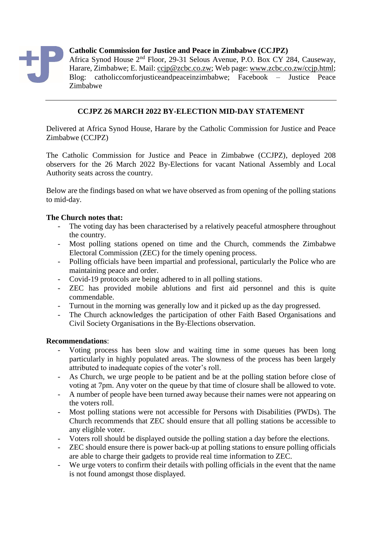

**Catholic Commission for Justice and Peace in Zimbabwe (CCJPZ)**

Africa Synod House 2nd Floor, 29-31 Selous Avenue, P.O. Box CY 284, Causeway, Harare, Zimbabwe; E. Mail: [ccjp@zcbc.co.zw;](mailto:ccjp@zcbc.co.zw) Web page: [www.zcbc.co.zw/ccjp.html;](http://www.zcbc.co.zw/ccjp.html) Blog: catholiccomforjusticeandpeaceinzimbabwe; Facebook – Justice Peace Zimbabwe

## **CCJPZ 26 MARCH 2022 BY-ELECTION MID-DAY STATEMENT**

Delivered at Africa Synod House, Harare by the Catholic Commission for Justice and Peace Zimbabwe (CCJPZ)

The Catholic Commission for Justice and Peace in Zimbabwe (CCJPZ), deployed 208 observers for the 26 March 2022 By-Elections for vacant National Assembly and Local Authority seats across the country.

Below are the findings based on what we have observed as from opening of the polling stations to mid-day.

## **The Church notes that:**

- The voting day has been characterised by a relatively peaceful atmosphere throughout the country.
- Most polling stations opened on time and the Church, commends the Zimbabwe Electoral Commission (ZEC) for the timely opening process.
- Polling officials have been impartial and professional, particularly the Police who are maintaining peace and order.
- Covid-19 protocols are being adhered to in all polling stations.
- ZEC has provided mobile ablutions and first aid personnel and this is quite commendable.
- Turnout in the morning was generally low and it picked up as the day progressed.
- The Church acknowledges the participation of other Faith Based Organisations and Civil Society Organisations in the By-Elections observation.

## **Recommendations**:

- Voting process has been slow and waiting time in some queues has been long particularly in highly populated areas. The slowness of the process has been largely attributed to inadequate copies of the voter's roll.
- As Church, we urge people to be patient and be at the polling station before close of voting at 7pm. Any voter on the queue by that time of closure shall be allowed to vote.
- A number of people have been turned away because their names were not appearing on the voters roll.
- Most polling stations were not accessible for Persons with Disabilities (PWDs). The Church recommends that ZEC should ensure that all polling stations be accessible to any eligible voter.
- Voters roll should be displayed outside the polling station a day before the elections.
- ZEC should ensure there is power back-up at polling stations to ensure polling officials are able to charge their gadgets to provide real time information to ZEC.
- We urge voters to confirm their details with polling officials in the event that the name is not found amongst those displayed.